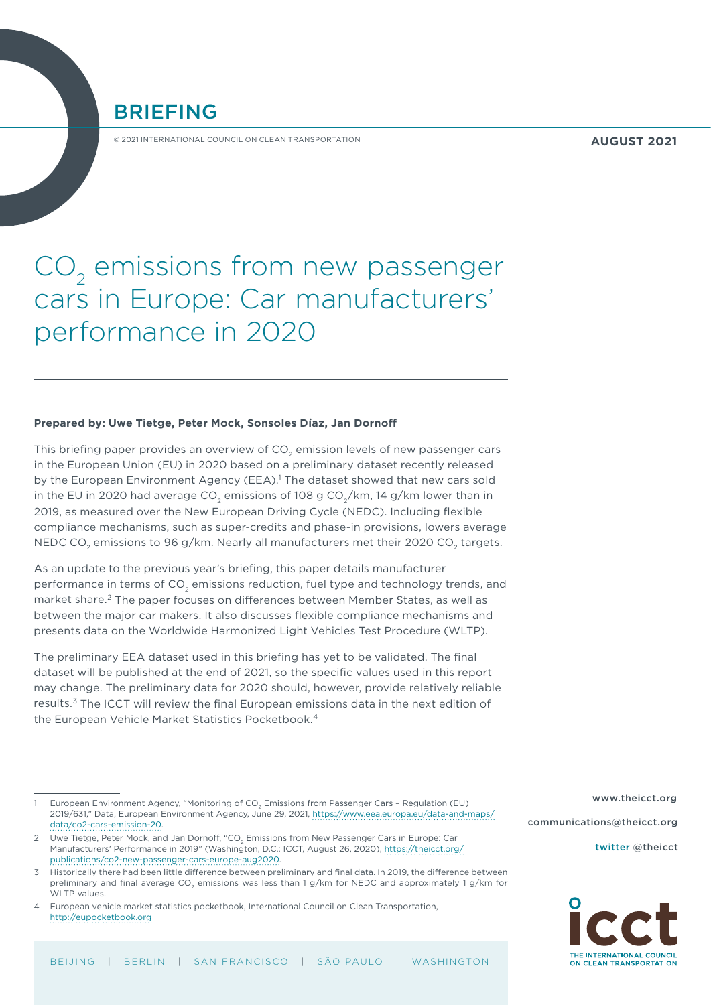**AUGUST 2021**

# BRIEFING

© 2021 INTERNATIONAL COUNCIL ON CLEAN TRANSPORTATION

# CO<sub>2</sub> emissions from new passenger cars in Europe: Car manufacturers' performance in 2020

#### **Prepared by: Uwe Tietge, Peter Mock, Sonsoles Díaz, Jan Dornoff**

This briefing paper provides an overview of  $CO<sub>2</sub>$  emission levels of new passenger cars in the European Union (EU) in 2020 based on a preliminary dataset recently released by the European Environment Agency (EEA).<sup>1</sup> The dataset showed that new cars sold in the EU in 2020 had average CO<sub>2</sub> emissions of 108 g CO<sub>2</sub>/km, 14 g/km lower than in 2019, as measured over the New European Driving Cycle (NEDC). Including flexible compliance mechanisms, such as super-credits and phase-in provisions, lowers average NEDC CO<sub>2</sub> emissions to 96 g/km. Nearly all manufacturers met their 2020 CO<sub>2</sub> targets.

As an update to the previous year's briefing, this paper details manufacturer performance in terms of CO<sub>2</sub> emissions reduction, fuel type and technology trends, and market share.<sup>2</sup> The paper focuses on differences between Member States, as well as between the major car makers. It also discusses flexible compliance mechanisms and presents data on the Worldwide Harmonized Light Vehicles Test Procedure (WLTP).

The preliminary EEA dataset used in this briefing has yet to be validated. The final dataset will be published at the end of 2021, so the specific values used in this report may change. The preliminary data for 2020 should, however, provide relatively reliable results.<sup>3</sup> The ICCT will review the final European emissions data in the next edition of the European Vehicle Market Statistics Pocketbook.4

4 European vehicle market statistics pocketbook, International Council on Clean Transportation, <http://eupocketbook.org>

[www.theicct.org](http://www.theicct.org) [communications@theicct.org](mailto:communications@theicct.org    ) 

[twitter @theicct](https://twitter.com/TheICCT)



European Environment Agency, "Monitoring of CO<sub>2</sub> Emissions from Passenger Cars - Regulation (EU) 2019/631," Data, European Environment Agency, June 29, 2021, [https://www.eea.europa.eu/data-and-maps/](https://www.eea.europa.eu/data-and-maps/data/co2-cars-emission-20) [data/co2-cars-emission-20](https://www.eea.europa.eu/data-and-maps/data/co2-cars-emission-20).

<sup>2</sup> Uwe Tietge, Peter Mock, and Jan Dornoff, "CO<sub>2</sub> Emissions from New Passenger Cars in Europe: Car Manufacturers' Performance in 2019" (Washington, D.C.: ICCT, August 26, 2020), [https://theicct.org/](https://theicct.org/publications/co2-new-passenger-cars-europe-aug2020) [publications/co2-new-passenger-cars-europe-aug2020.](https://theicct.org/publications/co2-new-passenger-cars-europe-aug2020)

<sup>3</sup> Historically there had been little difference between preliminary and final data. In 2019, the difference between preliminary and final average CO<sub>2</sub> emissions was less than 1 g/km for NEDC and approximately 1 g/km for WLTP values.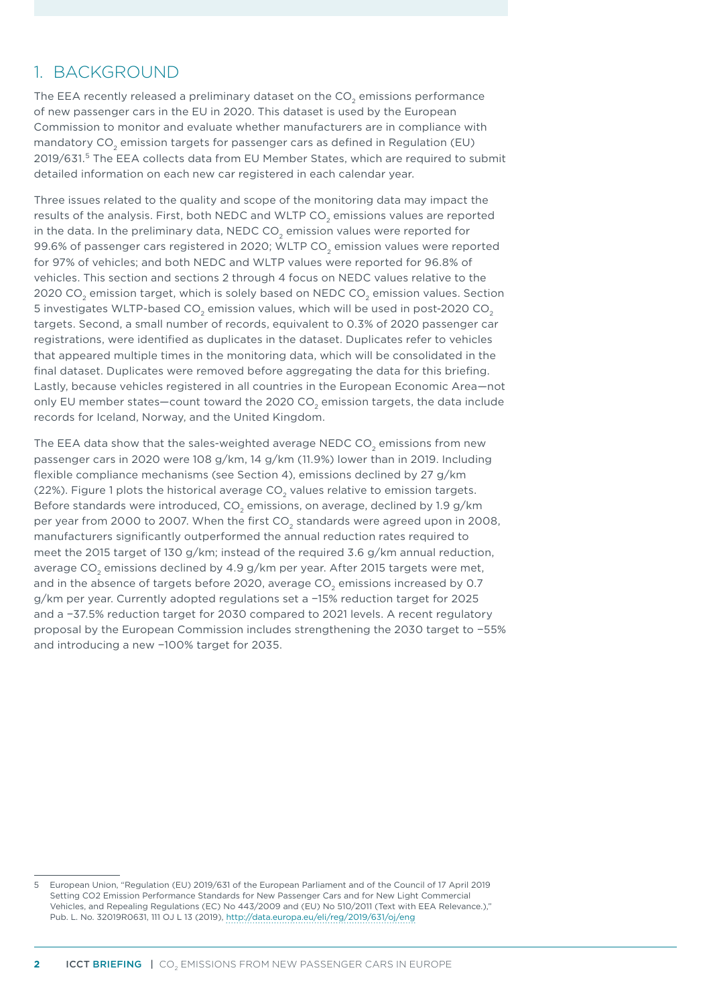### 1. BACKGROUND

The EEA recently released a preliminary dataset on the CO<sub>2</sub> emissions performance of new passenger cars in the EU in 2020. This dataset is used by the European Commission to monitor and evaluate whether manufacturers are in compliance with mandatory CO<sub>2</sub> emission targets for passenger cars as defined in Regulation (EU) 2019/631.5 The EEA collects data from EU Member States, which are required to submit detailed information on each new car registered in each calendar year.

Three issues related to the quality and scope of the monitoring data may impact the results of the analysis. First, both NEDC and WLTP CO<sub>2</sub> emissions values are reported in the data. In the preliminary data, NEDC  $CO<sub>2</sub>$  emission values were reported for 99.6% of passenger cars registered in 2020; WLTP CO<sub>2</sub> emission values were reported for 97% of vehicles; and both NEDC and WLTP values were reported for 96.8% of vehicles. This section and sections [2](#page-2-0) through [4](#page-7-0) focus on NEDC values relative to the 2020 CO<sub>2</sub> emission target, which is solely based on NEDC CO<sub>2</sub> emission values. Section [5](#page-10-0) investigates WLTP-based CO<sub>2</sub> emission values, which will be used in post-2020 CO<sub>2</sub> targets. Second, a small number of records, equivalent to 0.3% of 2020 passenger car registrations, were identified as duplicates in the dataset. Duplicates refer to vehicles that appeared multiple times in the monitoring data, which will be consolidated in the final dataset. Duplicates were removed before aggregating the data for this briefing. Lastly, because vehicles registered in all countries in the European Economic Area—not only EU member states—count toward the 2020 CO<sub>2</sub> emission targets, the data include records for Iceland, Norway, and the United Kingdom.

The EEA data show that the sales-weighted average NEDC CO<sub>2</sub> emissions from new passenger cars in 2020 were 108 g/km, 14 g/km (11.9%) lower than in 2019. Including flexible compliance mechanisms (see Section 4), emissions declined by 27 g/km (22%). [Figure](#page-2-1) 1 plots the historical average  $CO<sub>2</sub>$  values relative to emission targets. Before standards were introduced, CO<sub>2</sub> emissions, on average, declined by 1.9 g/km per year from 2000 to 2007. When the first CO<sub>2</sub> standards were agreed upon in 2008, manufacturers significantly outperformed the annual reduction rates required to meet the 2015 target of 130 g/km; instead of the required 3.6 g/km annual reduction, average CO<sub>2</sub> emissions declined by 4.9 g/km per year. After 2015 targets were met, and in the absence of targets before 2020, average CO<sub>2</sub> emissions increased by 0.7 g/km per year. Currently adopted regulations set a −15% reduction target for 2025 and a −37.5% reduction target for 2030 compared to 2021 levels. A recent regulatory proposal by the European Commission includes strengthening the 2030 target to −55% and introducing a new −100% target for 2035.

<sup>5</sup> European Union, "Regulation (EU) 2019/631 of the European Parliament and of the Council of 17 April 2019 Setting CO2 Emission Performance Standards for New Passenger Cars and for New Light Commercial Vehicles, and Repealing Regulations (EC) No 443/2009 and (EU) No 510/2011 (Text with EEA Relevance.)," Pub. L. No. 32019R0631, 111 OJ L 13 (2019),<http://data.europa.eu/eli/reg/2019/631/oj/eng>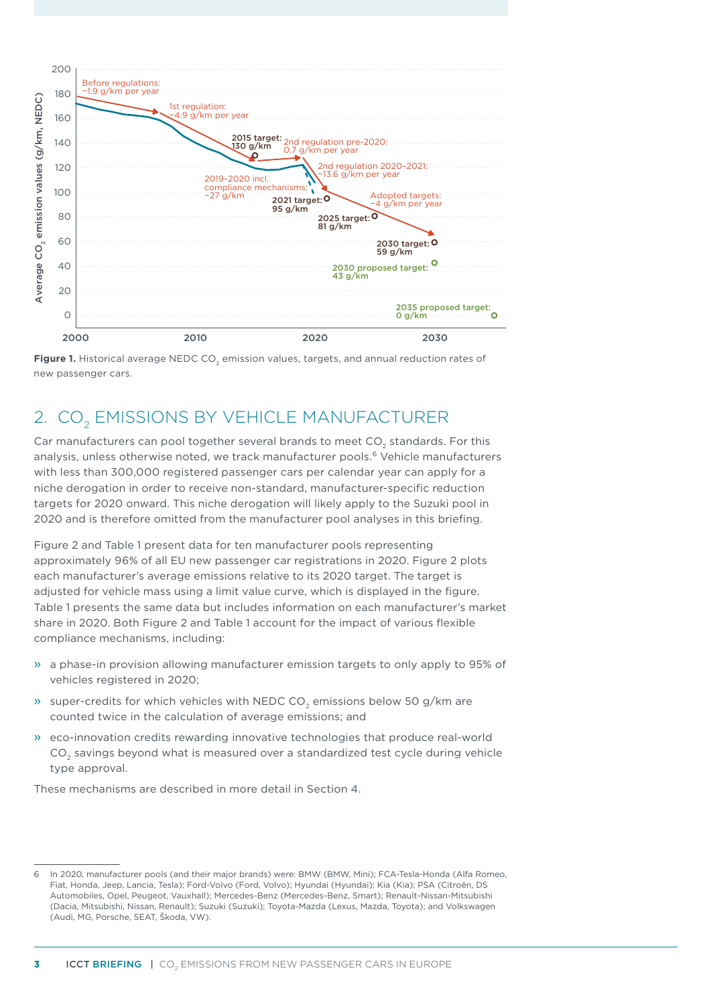

<span id="page-2-1"></span>Figure 1. Historical average NEDC CO<sub>2</sub> emission values, targets, and annual reduction rates of new passenger cars.

# <span id="page-2-0"></span>2. CO<sub>2</sub> EMISSIONS BY VEHICLE MANUFACTURER

Car manufacturers can pool together several brands to meet  $CO<sub>2</sub>$  standards. For this analysis, unless otherwise noted, we track manufacturer pools.<sup>6</sup> Vehicle manufacturers with less than 300,000 registered passenger cars per calendar year can apply for a niche derogation in order to receive non-standard, manufacturer-specific reduction targets for 2020 onward. This niche derogation will likely apply to the Suzuki pool in 2020 and is therefore omitted from the manufacturer pool analyses in this briefing.

[Figure](#page-3-0) 2 and [Table 1](#page-3-1) present data for ten manufacturer pools representing approximately 96% of all EU new passenger car registrations in 2020. [Figure](#page-3-0) 2 plots each manufacturer's average emissions relative to its 2020 target. The target is adjusted for vehicle mass using a limit value curve, which is displayed in the figure. [Table](#page-3-1) 1 presents the same data but includes information on each manufacturer's market share in 2020. Both [Figure](#page-3-0) 2 and [Table](#page-3-1) 1 account for the impact of various flexible compliance mechanisms, including:

- » a phase-in provision allowing manufacturer emission targets to only apply to 95% of vehicles registered in 2020;
- » super-credits for which vehicles with NEDC CO<sub>2</sub> emissions below 50 g/km are counted twice in the calculation of average emissions; and
- » eco-innovation credits rewarding innovative technologies that produce real-world CO<sub>2</sub> savings beyond what is measured over a standardized test cycle during vehicle type approval.

These mechanisms are described in more detail in Section [4](#page-7-0).

<sup>6</sup> In 2020, manufacturer pools (and their major brands) were: BMW (BMW, Mini); FCA-Tesla-Honda (Alfa Romeo, Fiat, Honda, Jeep, Lancia, Tesla); Ford-Volvo (Ford, Volvo); Hyundai (Hyundai); Kia (Kia); PSA (Citroën, DS Automobiles, Opel, Peugeot, Vauxhall); Mercedes-Benz (Mercedes-Benz, Smart); Renault-Nissan-Mitsubishi (Dacia, Mitsubishi, Nissan, Renault); Suzuki (Suzuki); Toyota-Mazda (Lexus, Mazda, Toyota); and Volkswagen (Audi, MG, Porsche, SEAT, Škoda, VW).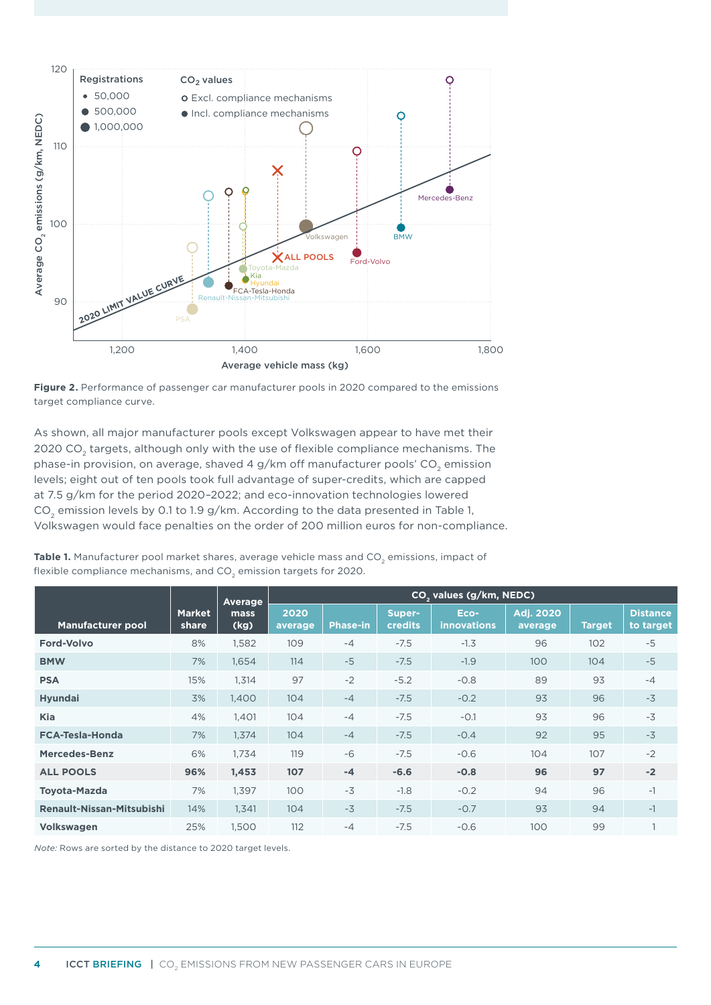

<span id="page-3-0"></span>

As shown, all major manufacturer pools except Volkswagen appear to have met their 2020 CO<sub>2</sub> targets, although only with the use of flexible compliance mechanisms. The phase-in provision, on average, shaved 4 g/km off manufacturer pools' CO<sub>2</sub> emission levels; eight out of ten pools took full advantage of super-credits, which are capped at 7.5 g/km for the period 2020–2022; and eco-innovation technologies lowered  $CO<sub>2</sub>$  emission levels by 0.1 to 1.9 g/km. According to the data presented in [Table](#page-3-1) 1, Volkswagen would face penalties on the order of 200 million euros for non-compliance.

|                                  |                        | Average      | CO <sub>2</sub> values (g/km, NEDC) |                 |                   |                            |                             |               |                              |  |
|----------------------------------|------------------------|--------------|-------------------------------------|-----------------|-------------------|----------------------------|-----------------------------|---------------|------------------------------|--|
| <b>Manufacturer pool</b>         | <b>Market</b><br>share | mass<br>(kg) | 2020<br>average                     | <b>Phase-in</b> | Super-<br>credits | Eco-<br><b>innovations</b> | <b>Adj. 2020</b><br>average | <b>Target</b> | <b>Distance</b><br>to target |  |
| <b>Ford-Volvo</b>                | 8%                     | 1,582        | 109                                 | $-4$            | $-7.5$            | $-1.3$                     | 96                          | 102           | $-5$                         |  |
| <b>BMW</b>                       | 7%                     | 1,654        | 114                                 | $-5$            | $-7.5$            | $-1.9$                     | 100                         | 104           | $-5$                         |  |
| <b>PSA</b>                       | 15%                    | 1,314        | 97                                  | $-2$            | $-5.2$            | $-0.8$                     | 89                          | 93            | $-4$                         |  |
| <b>Hyundai</b>                   | 3%                     | 1,400        | 104                                 | $-4$            | $-7.5$            | $-0.2$                     | 93                          | 96            | $-3$                         |  |
| Kia                              | 4%                     | 1,401        | 104                                 | $-4$            | $-7.5$            | $-0.1$                     | 93                          | 96            | $-3$                         |  |
| <b>FCA-Tesla-Honda</b>           | 7%                     | 1,374        | 104                                 | $-4$            | $-7.5$            | $-0.4$                     | 92                          | 95            | $-3$                         |  |
| Mercedes-Benz                    | 6%                     | 1.734        | 119                                 | $-6$            | $-7.5$            | $-0.6$                     | 104                         | 107           | $-2$                         |  |
| <b>ALL POOLS</b>                 | 96%                    | 1,453        | 107                                 | $-4$            | $-6.6$            | $-0.8$                     | 96                          | 97            | $-2$                         |  |
| <b>Toyota-Mazda</b>              | 7%                     | 1,397        | 100                                 | $-3$            | $-1.8$            | $-0.2$                     | 94                          | 96            | $-1$                         |  |
| <b>Renault-Nissan-Mitsubishi</b> | 14%                    | 1,341        | 104                                 | $-3$            | $-7.5$            | $-0.7$                     | 93                          | 94            | $-1$                         |  |
| Volkswagen                       | 25%                    | 1,500        | 112                                 | $-4$            | $-7.5$            | $-0.6$                     | 100                         | 99            |                              |  |

<span id="page-3-1"></span>Table 1. Manufacturer pool market shares, average vehicle mass and CO<sub>2</sub> emissions, impact of flexible compliance mechanisms, and  $CO<sub>2</sub>$  emission targets for 2020.

*Note:* Rows are sorted by the distance to 2020 target levels.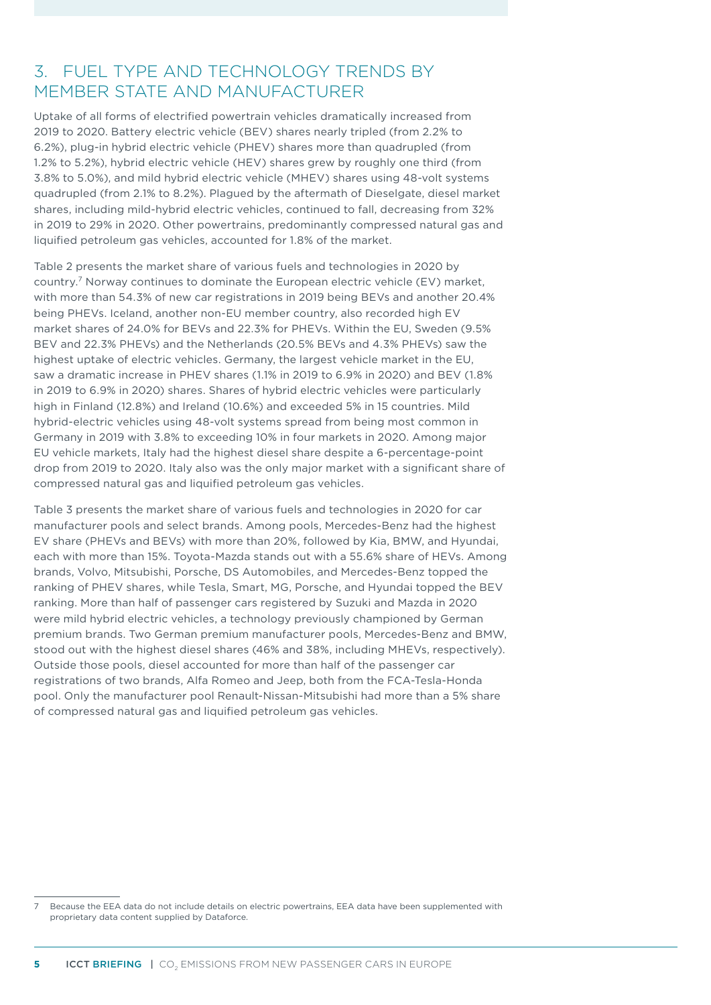#### 3. FUEL TYPE AND TECHNOLOGY TRENDS BY MEMBER STATE AND MANUFACTURER

Uptake of all forms of electrified powertrain vehicles dramatically increased from 2019 to 2020. Battery electric vehicle (BEV) shares nearly tripled (from 2.2% to 6.2%), plug-in hybrid electric vehicle (PHEV) shares more than quadrupled (from 1.2% to 5.2%), hybrid electric vehicle (HEV) shares grew by roughly one third (from 3.8% to 5.0%), and mild hybrid electric vehicle (MHEV) shares using 48-volt systems quadrupled (from 2.1% to 8.2%). Plagued by the aftermath of Dieselgate, diesel market shares, including mild-hybrid electric vehicles, continued to fall, decreasing from 32% in 2019 to 29% in 2020. Other powertrains, predominantly compressed natural gas and liquified petroleum gas vehicles, accounted for 1.8% of the market.

[Table](#page-5-0) 2 presents the market share of various fuels and technologies in 2020 by country.7 Norway continues to dominate the European electric vehicle (EV) market, with more than 54.3% of new car registrations in 2019 being BEVs and another 20.4% being PHEVs. Iceland, another non-EU member country, also recorded high EV market shares of 24.0% for BEVs and 22.3% for PHEVs. Within the EU, Sweden (9.5% BEV and 22.3% PHEVs) and the Netherlands (20.5% BEVs and 4.3% PHEVs) saw the highest uptake of electric vehicles. Germany, the largest vehicle market in the EU, saw a dramatic increase in PHEV shares (1.1% in 2019 to 6.9% in 2020) and BEV (1.8% in 2019 to 6.9% in 2020) shares. Shares of hybrid electric vehicles were particularly high in Finland (12.8%) and Ireland (10.6%) and exceeded 5% in 15 countries. Mild hybrid-electric vehicles using 48-volt systems spread from being most common in Germany in 2019 with 3.8% to exceeding 10% in four markets in 2020. Among major EU vehicle markets, Italy had the highest diesel share despite a 6-percentage-point drop from 2019 to 2020. Italy also was the only major market with a significant share of compressed natural gas and liquified petroleum gas vehicles.

[Table](#page-6-0) 3 presents the market share of various fuels and technologies in 2020 for car manufacturer pools and select brands. Among pools, Mercedes-Benz had the highest EV share (PHEVs and BEVs) with more than 20%, followed by Kia, BMW, and Hyundai, each with more than 15%. Toyota-Mazda stands out with a 55.6% share of HEVs. Among brands, Volvo, Mitsubishi, Porsche, DS Automobiles, and Mercedes-Benz topped the ranking of PHEV shares, while Tesla, Smart, MG, Porsche, and Hyundai topped the BEV ranking. More than half of passenger cars registered by Suzuki and Mazda in 2020 were mild hybrid electric vehicles, a technology previously championed by German premium brands. Two German premium manufacturer pools, Mercedes-Benz and BMW, stood out with the highest diesel shares (46% and 38%, including MHEVs, respectively). Outside those pools, diesel accounted for more than half of the passenger car registrations of two brands, Alfa Romeo and Jeep, both from the FCA-Tesla-Honda pool. Only the manufacturer pool Renault-Nissan-Mitsubishi had more than a 5% share of compressed natural gas and liquified petroleum gas vehicles.

<sup>7</sup> Because the EEA data do not include details on electric powertrains, EEA data have been supplemented with proprietary data content supplied by Dataforce.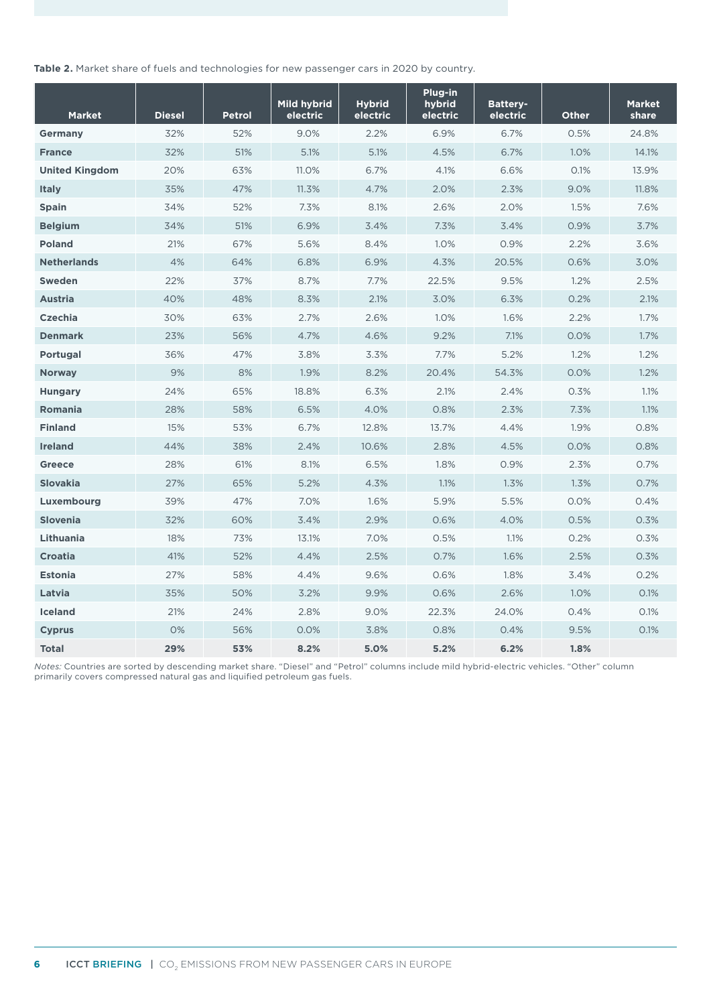<span id="page-5-0"></span>**Table 2.** Market share of fuels and technologies for new passenger cars in 2020 by country.

| <b>Market</b>         | <b>Diesel</b> | <b>Petrol</b> | <b>Mild hybrid</b><br>electric | <b>Hybrid</b><br>electric | Plug-in<br>hybrid<br>electric | <b>Battery-</b><br>electric | <b>Other</b> | <b>Market</b><br>share |
|-----------------------|---------------|---------------|--------------------------------|---------------------------|-------------------------------|-----------------------------|--------------|------------------------|
| <b>Germany</b>        | 32%           | 52%           | 9.0%                           | 2.2%                      | 6.9%                          | 6.7%                        | 0.5%         | 24.8%                  |
| <b>France</b>         | 32%           | 51%           | 5.1%                           | 5.1%                      | 4.5%                          | 6.7%                        | 1.0%         | 14.1%                  |
| <b>United Kingdom</b> | 20%           | 63%           | 11.0%                          | 6.7%                      | 4.1%                          | 6.6%                        | 0.1%         | 13.9%                  |
| <b>Italy</b>          | 35%           | 47%           | 11.3%                          | 4.7%                      | 2.0%                          | 2.3%                        | 9.0%         | 11.8%                  |
| <b>Spain</b>          | 34%           | 52%           | 7.3%                           | 8.1%                      | 2.6%                          | 2.0%                        | 1.5%         | 7.6%                   |
| <b>Belgium</b>        | 34%           | 51%           | 6.9%                           | 3.4%                      | 7.3%                          | 3.4%                        | 0.9%         | 3.7%                   |
| <b>Poland</b>         | 21%           | 67%           | 5.6%                           | 8.4%                      | 1.0%                          | 0.9%                        | 2.2%         | 3.6%                   |
| <b>Netherlands</b>    | 4%            | 64%           | 6.8%                           | 6.9%                      | 4.3%                          | 20.5%                       | 0.6%         | 3.0%                   |
| <b>Sweden</b>         | 22%           | 37%           | 8.7%                           | 7.7%                      | 22.5%                         | 9.5%                        | 1.2%         | 2.5%                   |
| <b>Austria</b>        | 40%           | 48%           | 8.3%                           | 2.1%                      | 3.0%                          | 6.3%                        | 0.2%         | 2.1%                   |
| <b>Czechia</b>        | 30%           | 63%           | 2.7%                           | 2.6%                      | 1.0%                          | 1.6%                        | 2.2%         | 1.7%                   |
| <b>Denmark</b>        | 23%           | 56%           | 4.7%                           | 4.6%                      | 9.2%                          | 7.1%                        | 0.0%         | 1.7%                   |
| Portugal              | 36%           | 47%           | 3.8%                           | 3.3%                      | 7.7%                          | 5.2%                        | 1.2%         | 1.2%                   |
| <b>Norway</b>         | 9%            | 8%            | 1.9%                           | 8.2%                      | 20.4%                         | 54.3%                       | 0.0%         | 1.2%                   |
| <b>Hungary</b>        | 24%           | 65%           | 18.8%                          | 6.3%                      | 2.1%                          | 2.4%                        | 0.3%         | 1.1%                   |
| Romania               | 28%           | 58%           | 6.5%                           | 4.0%                      | 0.8%                          | 2.3%                        | 7.3%         | 1.1%                   |
| <b>Finland</b>        | 15%           | 53%           | 6.7%                           | 12.8%                     | 13.7%                         | 4.4%                        | 1.9%         | 0.8%                   |
| <b>Ireland</b>        | 44%           | 38%           | 2.4%                           | 10.6%                     | 2.8%                          | 4.5%                        | 0.0%         | 0.8%                   |
| <b>Greece</b>         | 28%           | 61%           | 8.1%                           | 6.5%                      | 1.8%                          | 0.9%                        | 2.3%         | 0.7%                   |
| <b>Slovakia</b>       | 27%           | 65%           | 5.2%                           | 4.3%                      | 1.1%                          | 1.3%                        | 1.3%         | 0.7%                   |
| Luxembourg            | 39%           | 47%           | 7.0%                           | 1.6%                      | 5.9%                          | 5.5%                        | 0.0%         | 0.4%                   |
| <b>Slovenia</b>       | 32%           | 60%           | 3.4%                           | 2.9%                      | 0.6%                          | 4.0%                        | 0.5%         | 0.3%                   |
| Lithuania             | 18%           | 73%           | 13.1%                          | 7.0%                      | 0.5%                          | 1.1%                        | 0.2%         | 0.3%                   |
| <b>Croatia</b>        | 41%           | 52%           | 4.4%                           | 2.5%                      | 0.7%                          | 1.6%                        | 2.5%         | 0.3%                   |
| <b>Estonia</b>        | 27%           | 58%           | 4.4%                           | 9.6%                      | 0.6%                          | 1.8%                        | 3.4%         | 0.2%                   |
| Latvia                | 35%           | 50%           | 3.2%                           | 9.9%                      | 0.6%                          | 2.6%                        | 1.0%         | 0.1%                   |
| <b>Iceland</b>        | 21%           | 24%           | 2.8%                           | 9.0%                      | 22.3%                         | 24.0%                       | 0.4%         | 0.1%                   |
| <b>Cyprus</b>         | 0%            | 56%           | 0.0%                           | 3.8%                      | 0.8%                          | 0.4%                        | 9.5%         | 0.1%                   |
| <b>Total</b>          | 29%           | 53%           | 8.2%                           | 5.0%                      | 5.2%                          | 6.2%                        | 1.8%         |                        |

*Notes:* Countries are sorted by descending market share. "Diesel" and "Petrol" columns include mild hybrid-electric vehicles. "Other" column primarily covers compressed natural gas and liquified petroleum gas fuels.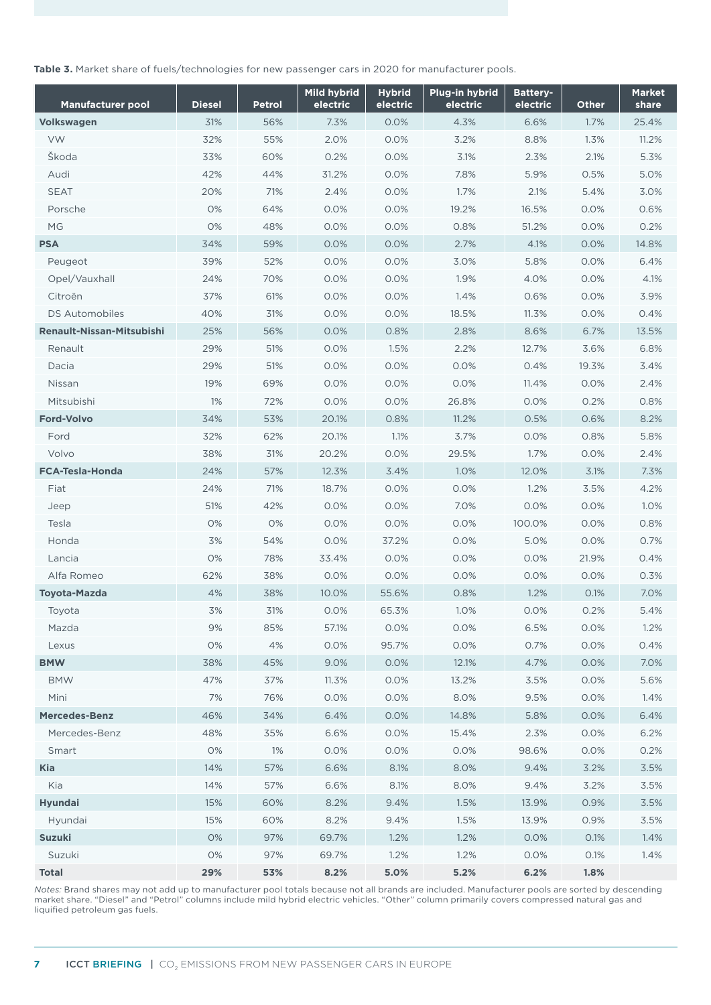<span id="page-6-0"></span>**Table 3.** Market share of fuels/technologies for new passenger cars in 2020 for manufacturer pools.

| <b>Manufacturer pool</b>         | <b>Diesel</b> | <b>Petrol</b> | <b>Mild hybrid</b><br>electric | <b>Hybrid</b><br>electric | Plug-in hybrid<br>electric | <b>Battery-</b><br>electric | Other | <b>Market</b><br>share |
|----------------------------------|---------------|---------------|--------------------------------|---------------------------|----------------------------|-----------------------------|-------|------------------------|
| Volkswagen                       | 31%           | 56%           | 7.3%                           | 0.0%                      | 4.3%                       | 6.6%                        | 1.7%  | 25.4%                  |
| <b>VW</b>                        | 32%           | 55%           | 2.0%                           | 0.0%                      | 3.2%                       | 8.8%                        | 1.3%  | 11.2%                  |
| Škoda                            | 33%           | 60%           | 0.2%                           | 0.0%                      | 3.1%                       | 2.3%                        | 2.1%  | 5.3%                   |
| Audi                             | 42%           | 44%           | 31.2%                          | 0.0%                      | 7.8%                       | 5.9%                        | 0.5%  | 5.0%                   |
| <b>SEAT</b>                      | 20%           | 71%           | 2.4%                           | 0.0%                      | 1.7%                       | 2.1%                        | 5.4%  | 3.0%                   |
| Porsche                          | 0%            | 64%           | 0.0%                           | 0.0%                      | 19.2%                      | 16.5%                       | 0.0%  | 0.6%                   |
| MG                               | 0%            | 48%           | 0.0%                           | 0.0%                      | 0.8%                       | 51.2%                       | 0.0%  | 0.2%                   |
| <b>PSA</b>                       | 34%           | 59%           | 0.0%                           | 0.0%                      | 2.7%                       | 4.1%                        | 0.0%  | 14.8%                  |
| Peugeot                          | 39%           | 52%           | 0.0%                           | 0.0%                      | 3.0%                       | 5.8%                        | 0.0%  | 6.4%                   |
| Opel/Vauxhall                    | 24%           | 70%           | 0.0%                           | 0.0%                      | 1.9%                       | 4.0%                        | 0.0%  | 4.1%                   |
| Citroën                          | 37%           | 61%           | 0.0%                           | 0.0%                      | 1.4%                       | 0.6%                        | 0.0%  | 3.9%                   |
| <b>DS Automobiles</b>            | 40%           | 31%           | 0.0%                           | 0.0%                      | 18.5%                      | 11.3%                       | 0.0%  | 0.4%                   |
| <b>Renault-Nissan-Mitsubishi</b> | 25%           | 56%           | 0.0%                           | 0.8%                      | 2.8%                       | 8.6%                        | 6.7%  | 13.5%                  |
| Renault                          | 29%           | 51%           | 0.0%                           | 1.5%                      | 2.2%                       | 12.7%                       | 3.6%  | 6.8%                   |
| Dacia                            | 29%           | 51%           | 0.0%                           | 0.0%                      | 0.0%                       | 0.4%                        | 19.3% | 3.4%                   |
| Nissan                           | 19%           | 69%           | 0.0%                           | 0.0%                      | 0.0%                       | 11.4%                       | 0.0%  | 2.4%                   |
| Mitsubishi                       | 1%            | 72%           | 0.0%                           | 0.0%                      | 26.8%                      | 0.0%                        | 0.2%  | 0.8%                   |
| <b>Ford-Volvo</b>                | 34%           | 53%           | 20.1%                          | 0.8%                      | 11.2%                      | 0.5%                        | 0.6%  | 8.2%                   |
| Ford                             | 32%           | 62%           | 20.1%                          | 1.1%                      | 3.7%                       | 0.0%                        | 0.8%  | 5.8%                   |
| Volvo                            | 38%           | 31%           | 20.2%                          | 0.0%                      | 29.5%                      | 1.7%                        | 0.0%  | 2.4%                   |
| <b>FCA-Tesla-Honda</b>           | 24%           | 57%           | 12.3%                          | 3.4%                      | 1.0%                       | 12.0%                       | 3.1%  | 7.3%                   |
| Fiat                             | 24%           | 71%           | 18.7%                          | 0.0%                      | 0.0%                       | 1.2%                        | 3.5%  | 4.2%                   |
| Jeep                             | 51%           | 42%           | 0.0%                           | 0.0%                      | 7.0%                       | 0.0%                        | 0.0%  | 1.0%                   |
| Tesla                            | 0%            | 0%            | 0.0%                           | 0.0%                      | 0.0%                       | 100.0%                      | 0.0%  | 0.8%                   |
| Honda                            | 3%            | 54%           | 0.0%                           | 37.2%                     | 0.0%                       | 5.0%                        | 0.0%  | 0.7%                   |
| Lancia                           | 0%            | 78%           | 33.4%                          | 0.0%                      | 0.0%                       | 0.0%                        | 21.9% | 0.4%                   |
| Alfa Romeo                       | 62%           | 38%           | 0.0%                           | 0.0%                      | 0.0%                       | 0.0%                        | 0.0%  | 0.3%                   |
| <b>Toyota-Mazda</b>              | 4%            | 38%           | 10.0%                          | 55.6%                     | 0.8%                       | 1.2%                        | 0.1%  | 7.0%                   |
| Toyota                           | 3%            | 31%           | 0.0%                           | 65.3%                     | 1.0%                       | 0.0%                        | 0.2%  | 5.4%                   |
| Mazda                            | 9%            | 85%           | 57.1%                          | 0.0%                      | 0.0%                       | 6.5%                        | 0.0%  | 1.2%                   |
| Lexus                            | 0%            | $4%$          | 0.0%                           | 95.7%                     | 0.0%                       | 0.7%                        | 0.0%  | 0.4%                   |
| <b>BMW</b>                       | 38%           | 45%           | 9.0%                           | 0.0%                      | 12.1%                      | 4.7%                        | 0.0%  | 7.0%                   |
| <b>BMW</b>                       | 47%           | 37%           | 11.3%                          | 0.0%                      | 13.2%                      | 3.5%                        | 0.0%  | 5.6%                   |
| Mini                             | 7%            | 76%           | 0.0%                           | 0.0%                      | 8.0%                       | 9.5%                        | 0.0%  | 1.4%                   |
| <b>Mercedes-Benz</b>             | 46%           | 34%           | 6.4%                           | 0.0%                      | 14.8%                      | 5.8%                        | 0.0%  | 6.4%                   |
| Mercedes-Benz                    | 48%           | 35%           | 6.6%                           | 0.0%                      | 15.4%                      | 2.3%                        | 0.0%  | 6.2%                   |
| Smart                            | 0%            | $1\%$         | 0.0%                           | 0.0%                      | 0.0%                       | 98.6%                       | 0.0%  | 0.2%                   |
| <b>Kia</b>                       | 14%           | 57%           | 6.6%                           | 8.1%                      | 8.0%                       | 9.4%                        | 3.2%  | 3.5%                   |
| Kia                              | 14%           | 57%           | 6.6%                           | 8.1%                      | 8.0%                       | 9.4%                        | 3.2%  | 3.5%                   |
| <b>Hyundai</b>                   | 15%           | 60%           | 8.2%                           | 9.4%                      | 1.5%                       | 13.9%                       | 0.9%  | 3.5%                   |
| Hyundai                          | 15%           | 60%           | 8.2%                           | 9.4%                      | 1.5%                       | 13.9%                       | 0.9%  | 3.5%                   |
| <b>Suzuki</b>                    | 0%            | 97%           | 69.7%                          | 1.2%                      | 1.2%                       | 0.0%                        | 0.1%  | 1.4%                   |
| Suzuki                           | 0%            | 97%           | 69.7%                          | 1.2%                      | 1.2%                       | 0.0%                        | 0.1%  | 1.4%                   |
| <b>Total</b>                     | 29%           | 53%           | 8.2%                           | 5.0%                      | 5.2%                       | 6.2%                        | 1.8%  |                        |

*Notes:* Brand shares may not add up to manufacturer pool totals because not all brands are included. Manufacturer pools are sorted by descending market share. "Diesel" and "Petrol" columns include mild hybrid electric vehicles. "Other" column primarily covers compressed natural gas and liquified petroleum gas fuels.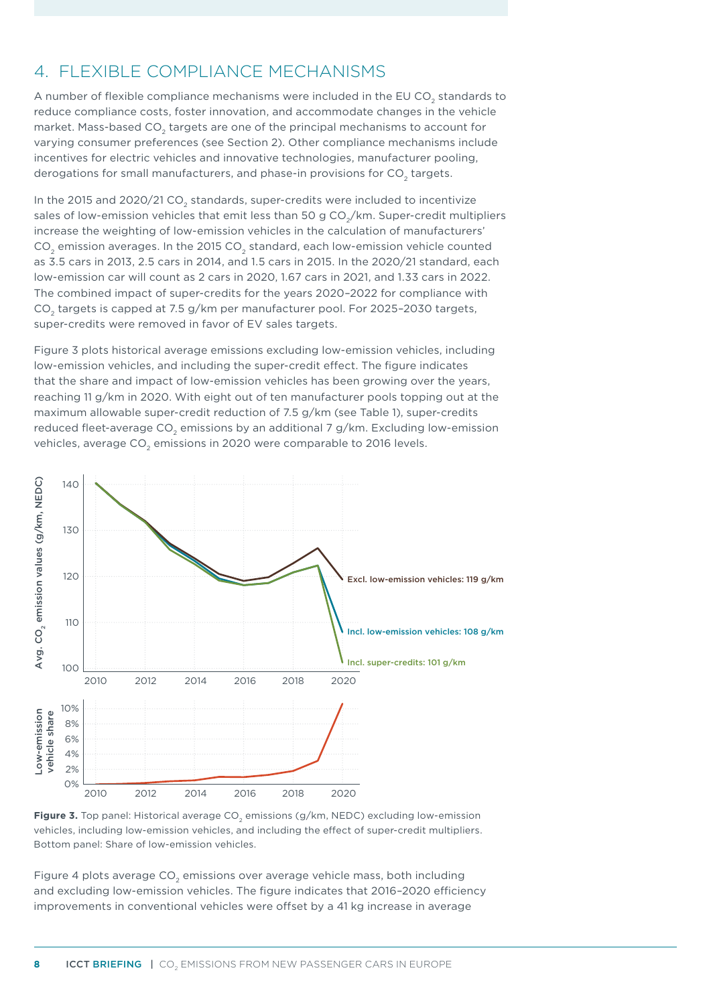### <span id="page-7-0"></span>4. FLEXIBLE COMPLIANCE MECHANISMS

A number of flexible compliance mechanisms were included in the EU CO<sub>2</sub> standards to reduce compliance costs, foster innovation, and accommodate changes in the vehicle market. Mass-based CO<sub>2</sub> targets are one of the principal mechanisms to account for varying consumer preferences (see Section [2\)](#page-2-0). Other compliance mechanisms include incentives for electric vehicles and innovative technologies, manufacturer pooling, derogations for small manufacturers, and phase-in provisions for CO<sub>2</sub> targets.

In the 2015 and 2020/21 CO<sub>2</sub> standards, super-credits were included to incentivize sales of low-emission vehicles that emit less than 50 g  $CO<sub>2</sub>/km$ . Super-credit multipliers increase the weighting of low-emission vehicles in the calculation of manufacturers' CO<sub>2</sub> emission averages. In the 2015 CO<sub>2</sub> standard, each low-emission vehicle counted as 3.5 cars in 2013, 2.5 cars in 2014, and 1.5 cars in 2015. In the 2020/21 standard, each low-emission car will count as 2 cars in 2020, 1.67 cars in 2021, and 1.33 cars in 2022. The combined impact of super-credits for the years 2020–2022 for compliance with CO<sub>2</sub> targets is capped at 7.5 g/km per manufacturer pool. For 2025-2030 targets, super-credits were removed in favor of EV sales targets.

[Figure](#page-7-1) 3 plots historical average emissions excluding low-emission vehicles, including low-emission vehicles, and including the super-credit effect. The figure indicates that the share and impact of low-emission vehicles has been growing over the years, reaching 11 g/km in 2020. With eight out of ten manufacturer pools topping out at the maximum allowable super-credit reduction of 7.5 g/km (see [Table 1](#page-3-1)), super-credits reduced fleet-average CO<sub>2</sub> emissions by an additional 7 g/km. Excluding low-emission vehicles, average CO<sub>2</sub> emissions in 2020 were comparable to 2016 levels.



<span id="page-7-1"></span>

[Figure](#page-8-0) 4 plots average  $CO<sub>2</sub>$  emissions over average vehicle mass, both including and excluding low-emission vehicles. The figure indicates that 2016–2020 efficiency improvements in conventional vehicles were offset by a 41 kg increase in average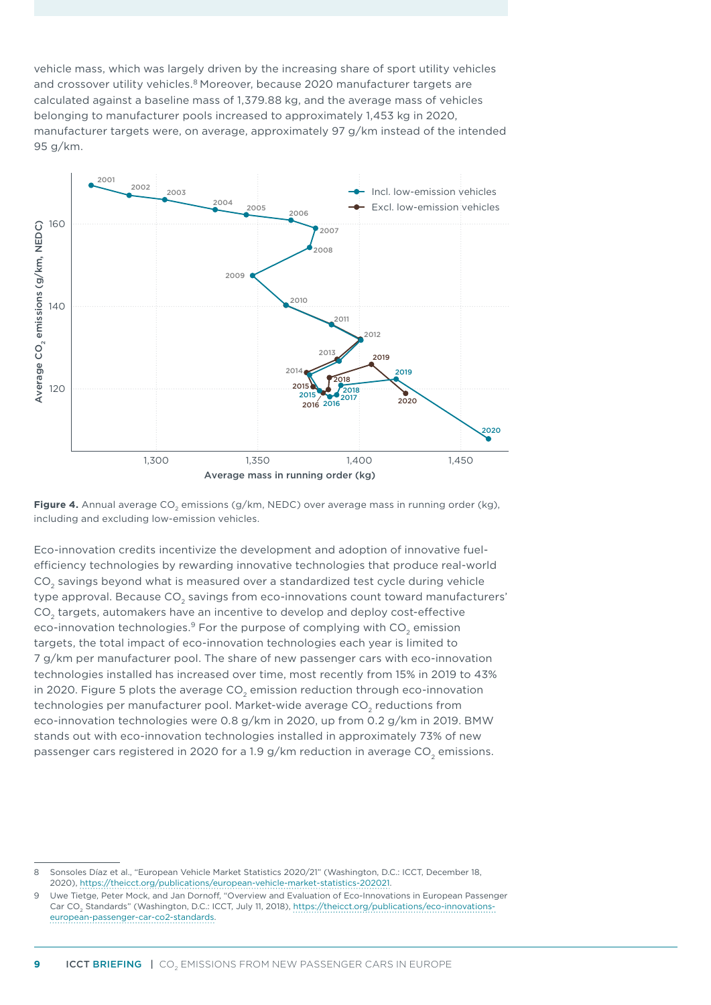vehicle mass, which was largely driven by the increasing share of sport utility vehicles and crossover utility vehicles.<sup>8</sup> Moreover, because 2020 manufacturer targets are calculated against a baseline mass of 1,379.88 kg, and the average mass of vehicles belonging to manufacturer pools increased to approximately 1,453 kg in 2020, manufacturer targets were, on average, approximately 97 g/km instead of the intended 95 g/km.



<span id="page-8-0"></span>Figure 4. Annual average CO<sub>2</sub> emissions (g/km, NEDC) over average mass in running order (kg), including and excluding low-emission vehicles.

Eco-innovation credits incentivize the development and adoption of innovative fuelefficiency technologies by rewarding innovative technologies that produce real-world CO<sub>2</sub> savings beyond what is measured over a standardized test cycle during vehicle type approval. Because CO<sub>2</sub> savings from eco-innovations count toward manufacturers' CO<sub>2</sub> targets, automakers have an incentive to develop and deploy cost-effective eco-innovation technologies.<sup>9</sup> For the purpose of complying with CO<sub>2</sub> emission targets, the total impact of eco-innovation technologies each year is limited to 7 g/km per manufacturer pool. The share of new passenger cars with eco-innovation technologies installed has increased over time, most recently from 15% in 2019 to 43% in 2020. [Figure 5](#page-9-0) plots the average CO<sub>2</sub> emission reduction through eco-innovation technologies per manufacturer pool. Market-wide average CO<sub>2</sub> reductions from eco-innovation technologies were 0.8 g/km in 2020, up from 0.2 g/km in 2019. BMW stands out with eco-innovation technologies installed in approximately 73% of new passenger cars registered in 2020 for a 1.9  $g$ /km reduction in average CO<sub>2</sub> emissions.

<sup>8</sup> Sonsoles Díaz et al., "European Vehicle Market Statistics 2020/21" (Washington, D.C.: ICCT, December 18, 2020),<https://theicct.org/publications/european-vehicle-market-statistics-202021>.

<sup>9</sup> Uwe Tietge, Peter Mock, and Jan Dornoff, "Overview and Evaluation of Eco-Innovations in European Passenger Car CO<sub>2</sub> Standards" (Washington, D.C.: ICCT, July 11, 2018), [https://theicct.org/publications/eco-innovations](https://theicct.org/publications/eco-innovations-european-passenger-car-co2-standards)[european-passenger-car-co2-standards](https://theicct.org/publications/eco-innovations-european-passenger-car-co2-standards).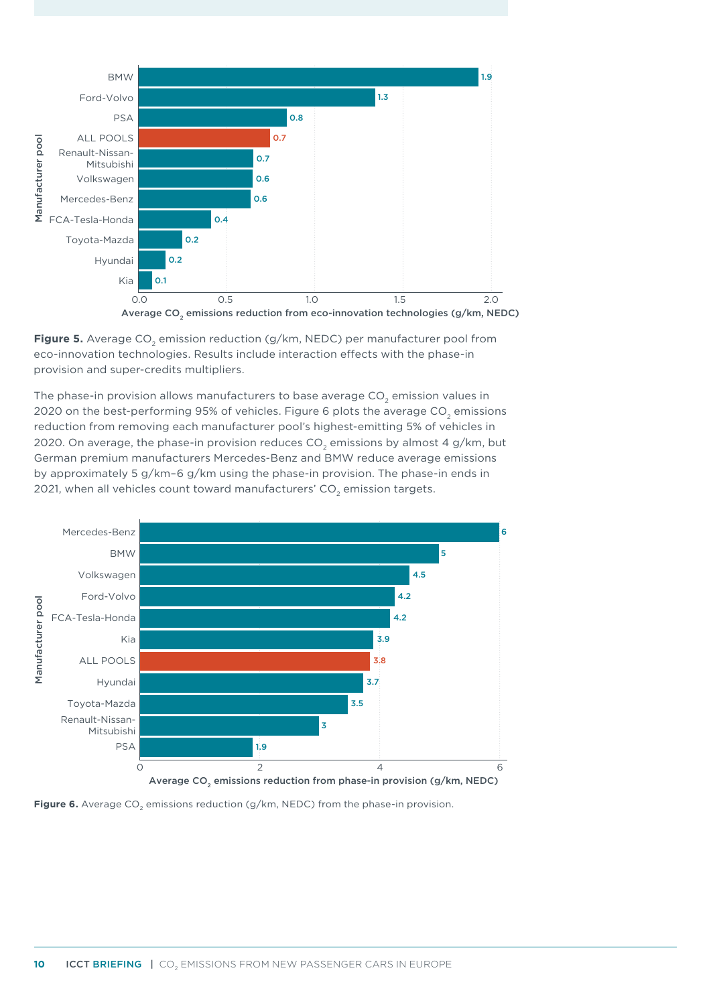

<span id="page-9-0"></span>**Figure 5.** Average CO<sub>2</sub> emission reduction (g/km, NEDC) per manufacturer pool from eco-innovation technologies. Results include interaction effects with the phase-in provision and super-credits multipliers.

The phase-in provision allows manufacturers to base average  $CO<sub>2</sub>$  emission values in 2020 on the best-performing 95% of vehicles. [Figure](#page-9-1) 6 plots the average CO<sub>2</sub> emissions reduction from removing each manufacturer pool's highest-emitting 5% of vehicles in 2020. On average, the phase-in provision reduces  $CO<sub>2</sub>$  emissions by almost 4 g/km, but German premium manufacturers Mercedes-Benz and BMW reduce average emissions by approximately 5 g/km–6 g/km using the phase-in provision. The phase-in ends in 2021, when all vehicles count toward manufacturers'  $CO<sub>2</sub>$  emission targets.



<span id="page-9-1"></span>**Figure 6.** Average CO<sub>2</sub> emissions reduction (g/km, NEDC) from the phase-in provision.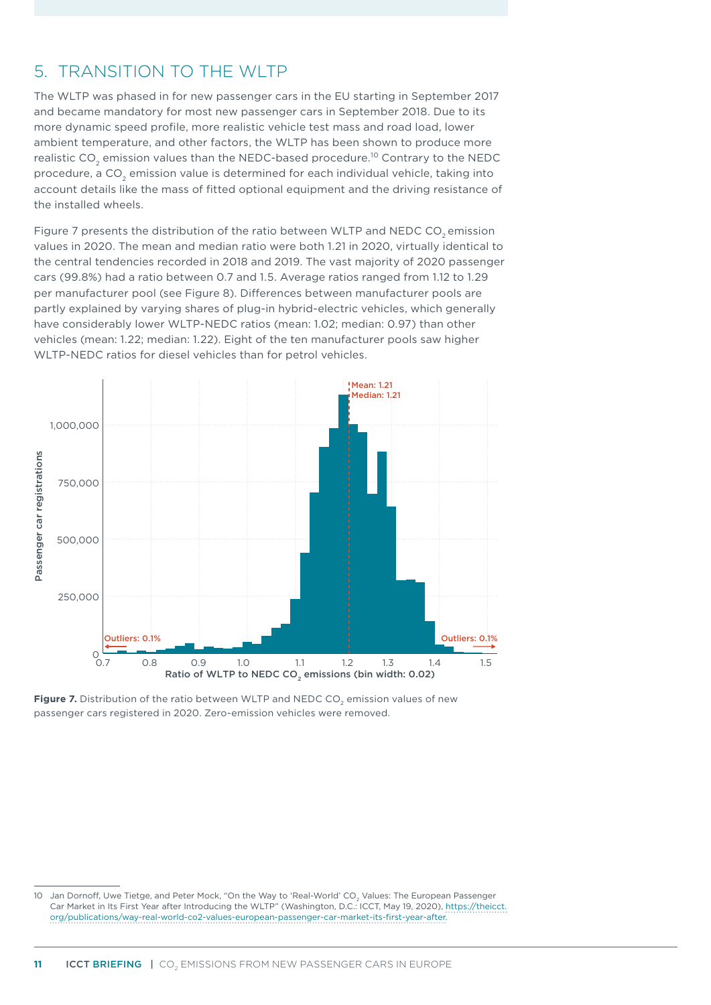## <span id="page-10-0"></span>5. TRANSITION TO THE WLTP

The WLTP was phased in for new passenger cars in the EU starting in September 2017 and became mandatory for most new passenger cars in September 2018. Due to its more dynamic speed profile, more realistic vehicle test mass and road load, lower ambient temperature, and other factors, the WLTP has been shown to produce more realistic CO<sub>2</sub> emission values than the NEDC-based procedure.<sup>10</sup> Contrary to the NEDC procedure, a CO<sub>2</sub> emission value is determined for each individual vehicle, taking into account details like the mass of fitted optional equipment and the driving resistance of the installed wheels.

[Figure](#page-10-1) 7 presents the distribution of the ratio between WLTP and NEDC CO<sub>2</sub> emission values in 2020. The mean and median ratio were both 1.21 in 2020, virtually identical to the central tendencies recorded in 2018 and 2019. The vast majority of 2020 passenger cars (99.8%) had a ratio between 0.7 and 1.5. Average ratios ranged from 1.12 to 1.29 per manufacturer pool (see [Figure 8](#page-11-0)). Differences between manufacturer pools are partly explained by varying shares of plug-in hybrid-electric vehicles, which generally have considerably lower WLTP-NEDC ratios (mean: 1.02; median: 0.97) than other vehicles (mean: 1.22; median: 1.22). Eight of the ten manufacturer pools saw higher WLTP-NEDC ratios for diesel vehicles than for petrol vehicles.



<span id="page-10-1"></span>Figure 7. Distribution of the ratio between WLTP and NEDC CO<sub>2</sub> emission values of new passenger cars registered in 2020. Zero-emission vehicles were removed.

10 Jan Dornoff, Uwe Tietge, and Peter Mock, "On the Way to 'Real-World' CO<sub>3</sub> Values: The European Passenger Car Market in Its First Year after Introducing the WLTP" (Washington, D.C.: ICCT, May 19, 2020), [https://theicct.](https://theicct.org/publications/way-real-world-co2-values-european-passenger-car-market-its-first-year-after) [org/publications/way-real-world-co2-values-european-passenger-car-market-its-first-year-after](https://theicct.org/publications/way-real-world-co2-values-european-passenger-car-market-its-first-year-after).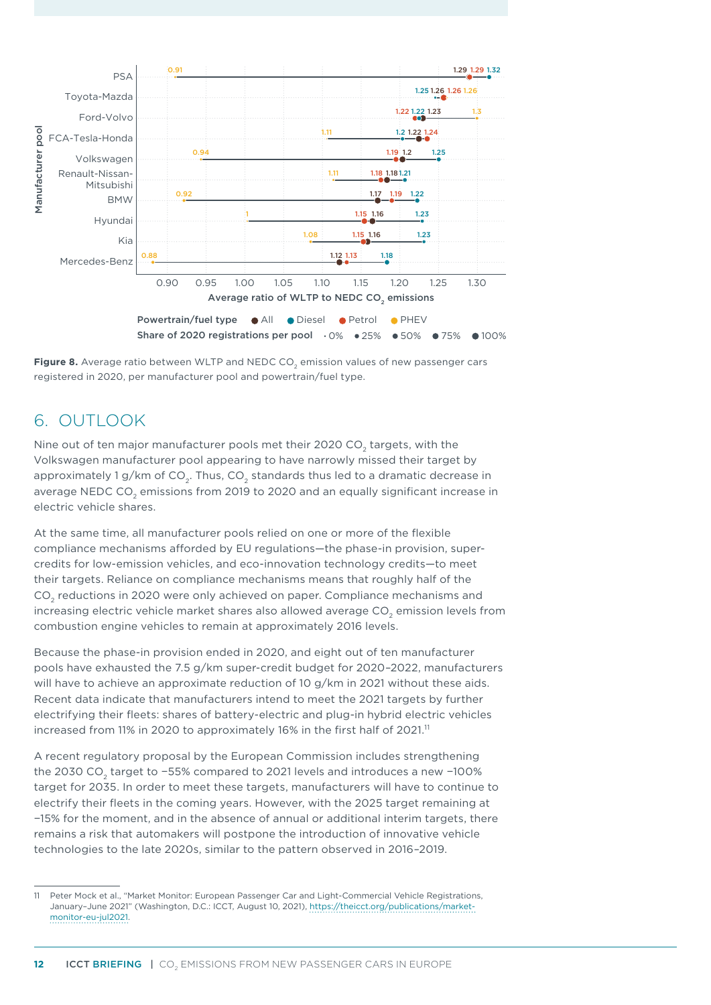

<span id="page-11-0"></span>Figure 8. Average ratio between WLTP and NEDC CO<sub>2</sub> emission values of new passenger cars registered in 2020, per manufacturer pool and powertrain/fuel type.

# 6. OUTLOOK

Nine out of ten major manufacturer pools met their 2020 CO<sub>2</sub> targets, with the Volkswagen manufacturer pool appearing to have narrowly missed their target by approximately 1 g/km of  $CO<sub>2</sub>$ . Thus,  $CO<sub>2</sub>$  standards thus led to a dramatic decrease in average NEDC CO<sub>2</sub> emissions from 2019 to 2020 and an equally significant increase in electric vehicle shares.

At the same time, all manufacturer pools relied on one or more of the flexible compliance mechanisms afforded by EU regulations—the phase-in provision, supercredits for low-emission vehicles, and eco-innovation technology credits—to meet their targets. Reliance on compliance mechanisms means that roughly half of the CO<sub>2</sub> reductions in 2020 were only achieved on paper. Compliance mechanisms and increasing electric vehicle market shares also allowed average CO<sub>2</sub> emission levels from combustion engine vehicles to remain at approximately 2016 levels.

Because the phase-in provision ended in 2020, and eight out of ten manufacturer pools have exhausted the 7.5 g/km super-credit budget for 2020–2022, manufacturers will have to achieve an approximate reduction of 10 g/km in 2021 without these aids. Recent data indicate that manufacturers intend to meet the 2021 targets by further electrifying their fleets: shares of battery-electric and plug-in hybrid electric vehicles increased from 11% in 2020 to approximately 16% in the first half of  $2021$ .<sup>11</sup>

A recent regulatory proposal by the European Commission includes strengthening the 2030 CO<sub>2</sub> target to −55% compared to 2021 levels and introduces a new −100% target for 2035. In order to meet these targets, manufacturers will have to continue to electrify their fleets in the coming years. However, with the 2025 target remaining at −15% for the moment, and in the absence of annual or additional interim targets, there remains a risk that automakers will postpone the introduction of innovative vehicle technologies to the late 2020s, similar to the pattern observed in 2016–2019.

<sup>11</sup> Peter Mock et al., "Market Monitor: European Passenger Car and Light-Commercial Vehicle Registrations, January–June 2021" (Washington, D.C.: ICCT, August 10, 2021), [https://theicct.org/publications/market](https://theicct.org/publications/market-monitor-eu-jul2021)[monitor-eu-jul2021](https://theicct.org/publications/market-monitor-eu-jul2021).